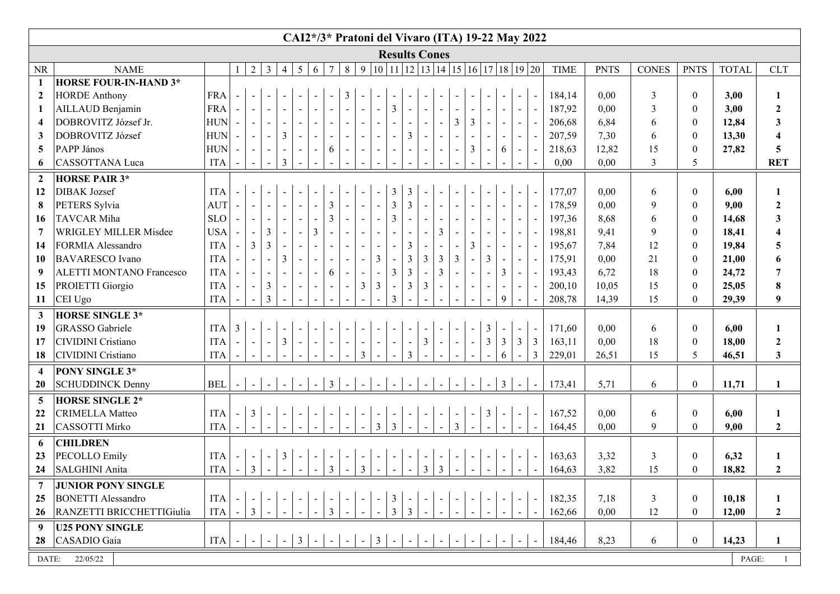|                         |                                 |             |                |                          |                |                |                |                          |                 |                |                |                |                |                                  |                |                |                          |                             |                      |                |                          | CAI2*/3* Pratoni del Vivaro (ITA) 19-22 May 2022 |             |             |                |                  |              |                         |
|-------------------------|---------------------------------|-------------|----------------|--------------------------|----------------|----------------|----------------|--------------------------|-----------------|----------------|----------------|----------------|----------------|----------------------------------|----------------|----------------|--------------------------|-----------------------------|----------------------|----------------|--------------------------|--------------------------------------------------|-------------|-------------|----------------|------------------|--------------|-------------------------|
|                         |                                 |             |                |                          |                |                |                |                          |                 |                |                |                |                | <b>Results Cones</b>             |                |                |                          |                             |                      |                |                          |                                                  |             |             |                |                  |              |                         |
| <b>NR</b>               | <b>NAME</b>                     |             | 1              | $\overline{2}$           | $\mathfrak{Z}$ | $\overline{4}$ | 5              | 6                        | $7\phantom{.0}$ | $8 \mid 9$     |                |                |                | 10 11 12 13 14 15 16 17 18 19 20 |                |                |                          |                             |                      |                |                          |                                                  | <b>TIME</b> | <b>PNTS</b> | <b>CONES</b>   | <b>PNTS</b>      | <b>TOTAL</b> | <b>CLT</b>              |
| -1                      | <b>HORSE FOUR-IN-HAND 3*</b>    |             |                |                          |                |                |                |                          |                 |                |                |                |                |                                  |                |                |                          |                             |                      |                |                          |                                                  |             |             |                |                  |              |                         |
| $\overline{2}$          | <b>HORDE</b> Anthony            | <b>FRA</b>  |                |                          |                |                |                |                          |                 | 3              |                |                |                |                                  |                |                |                          |                             |                      |                |                          |                                                  | 184,14      | 0,00        | 3              | $\mathbf{0}$     | 3,00         | $\mathbf{1}$            |
| -1                      | AILLAUD Benjamin                | <b>FRA</b>  |                | $\blacksquare$           |                |                |                |                          |                 |                |                |                | 3              |                                  |                |                |                          |                             |                      |                | $\mathbb{L}$             |                                                  | 187,92      | 0,00        | 3              | $\boldsymbol{0}$ | 3,00         | $\overline{2}$          |
| $\overline{\mathbf{4}}$ | DOBROVITZ József Jr.            | <b>HUN</b>  |                | $\blacksquare$           |                |                |                |                          |                 |                |                |                |                |                                  |                |                | 3                        | $\overline{3}$              |                      |                | $\mathbb{L}$             |                                                  | 206,68      | 6,84        | 6              | $\boldsymbol{0}$ | 12,84        | $\mathbf{3}$            |
| $\mathbf{3}$            | DOBROVITZ József                | HUN         | $\sim$         | $\blacksquare$           | $\blacksquare$ | $\mathfrak{Z}$ | $\blacksquare$ | $\blacksquare$           | $\blacksquare$  | $\blacksquare$ |                |                |                | $\overline{3}$                   |                |                |                          |                             | $\blacksquare$       |                | $\blacksquare$           |                                                  | 207,59      | 7,30        | 6              | $\boldsymbol{0}$ | 13,30        | $\overline{\mathbf{4}}$ |
| 5                       | PAPP János                      | HUN         |                | $\blacksquare$           |                |                |                | $\overline{\phantom{a}}$ | 6               |                |                |                |                |                                  |                |                | $\overline{\phantom{a}}$ | 3                           | $\ddot{\phantom{a}}$ | 6              | $\blacksquare$           |                                                  | 218,63      | 12,82       | 15             | $\boldsymbol{0}$ | 27,82        | 5                       |
| 6                       | CASSOTTANA Luca                 | <b>ITA</b>  |                | $\sim$                   |                | $\mathfrak{Z}$ |                |                          |                 |                |                |                |                |                                  |                |                |                          |                             |                      |                | $\blacksquare$           |                                                  | 0,00        | 0,00        | $\mathfrak{Z}$ | 5                |              | <b>RET</b>              |
| $\overline{2}$          | <b>HORSE PAIR 3*</b>            |             |                |                          |                |                |                |                          |                 |                |                |                |                |                                  |                |                |                          |                             |                      |                |                          |                                                  |             |             |                |                  |              |                         |
| 12                      | <b>DIBAK</b> Jozsef             | <b>ITA</b>  |                |                          |                |                |                |                          |                 |                |                |                | 3              | 3                                |                |                |                          |                             |                      |                |                          |                                                  | 177,07      | 0,00        | 6              | $\mathbf{0}$     | 6,00         | $\mathbf{1}$            |
| 8                       | PETERS Sylvia                   | AUT         | $\blacksquare$ | $\sim$                   |                | $\blacksquare$ | $\blacksquare$ | $\blacksquare$           | $\overline{3}$  | $\blacksquare$ |                |                | $\overline{3}$ | $\overline{3}$                   |                |                |                          |                             | $\mathbb{L}$         |                | $\mathbb{L}$             | $\sim$                                           | 178,59      | 0,00        | 9              | $\boldsymbol{0}$ | 9,00         | $\boldsymbol{2}$        |
| 16                      | <b>TAVCAR Miha</b>              | SLO         |                | $\blacksquare$           |                |                |                | $\blacksquare$           | $\mathfrak{Z}$  |                |                |                | $\mathfrak{Z}$ |                                  |                |                |                          |                             |                      |                | $\mathbb{L}$             |                                                  | 197,36      | 8,68        | 6              | $\boldsymbol{0}$ | 14,68        | $\mathbf{3}$            |
| 7                       | <b>WRIGLEY MILLER Misdee</b>    | <b>USA</b>  | $\sim$         | $\blacksquare$           | $\overline{3}$ | $\blacksquare$ | $\blacksquare$ | $\overline{3}$           |                 | $\blacksquare$ |                |                |                |                                  |                | $\mathfrak{Z}$ |                          | $\mathcal{L}$               | $\sim$               | $\blacksquare$ | $\mathbb{L}$             |                                                  | 198,81      | 9,41        | 9              | $\boldsymbol{0}$ | 18,41        | $\boldsymbol{4}$        |
| 14                      | FORMIA Alessandro               | <b>ITA</b>  |                | $\mathfrak{Z}$           | $\mathfrak{Z}$ |                |                |                          |                 |                |                |                |                | 3                                |                |                |                          | $\overline{3}$              | $\sim$               |                | $\blacksquare$           |                                                  | 195,67      | 7,84        | 12             | $\boldsymbol{0}$ | 19,84        | 5                       |
| 10                      | <b>BAVARESCO</b> Ivano          | <b>ITA</b>  |                | $\blacksquare$           |                | $\overline{3}$ |                | $\blacksquare$           |                 |                |                | $\overline{3}$ |                | $\overline{3}$                   | 3              | $\mathfrak{Z}$ | 3                        | $\overline{a}$              | $\overline{3}$       |                | $\mathbb{L}$             | $\sim$                                           | 175,91      | 0,00        | 21             | $\mathbf{0}$     | 21,00        | 6                       |
| 9                       | <b>ALETTI MONTANO Francesco</b> | <b>ITA</b>  |                | $\blacksquare$           |                |                |                | $\blacksquare$           | 6               |                |                |                | $\mathfrak{Z}$ | $\mathfrak{Z}$                   |                | $\mathfrak{Z}$ |                          | $\sim$                      | $\blacksquare$       | 3              | $\blacksquare$           | $\sim$                                           | 193,43      | 6,72        | 18             | $\mathbf{0}$     | 24,72        | $\overline{7}$          |
| 15                      | PROIETTI Giorgio                | <b>ITA</b>  |                | $\blacksquare$           | $\mathfrak{Z}$ |                |                | $\blacksquare$           | $\blacksquare$  | $\blacksquare$ | 3              | $\mathfrak{Z}$ | $\blacksquare$ | $\mathfrak{Z}$                   | $\mathfrak{Z}$ | $\blacksquare$ | $\blacksquare$           | $\sim$                      |                      |                | $\blacksquare$           | $\sim$                                           | 200,10      | 10,05       | 15             | $\mathbf{0}$     | 25,05        | $\bf{8}$                |
| 11                      | CEI Ugo                         | <b>ITA</b>  |                | $\overline{\phantom{a}}$ | 3              |                |                |                          | $\blacksquare$  |                | $\blacksquare$ | $\blacksquare$ | $\mathfrak{Z}$ |                                  | $\blacksquare$ |                | $\blacksquare$           |                             | $\sim$               | 9              | $\mathbb{L}$             |                                                  | 208,78      | 14,39       | 15             | $\theta$         | 29,39        | $\boldsymbol{9}$        |
| $\mathbf{3}$            | <b>HORSE SINGLE 3*</b>          |             |                |                          |                |                |                |                          |                 |                |                |                |                |                                  |                |                |                          |                             |                      |                |                          |                                                  |             |             |                |                  |              |                         |
| 19                      | <b>GRASSO</b> Gabriele          | <b>ITA</b>  | $\mathfrak{Z}$ |                          |                |                |                |                          |                 |                |                |                |                |                                  |                |                |                          |                             | 3                    |                | $\blacksquare$           |                                                  | 171,60      | 0,00        | 6              | $\mathbf{0}$     | 6,00         | $\mathbf{1}$            |
| 17                      | <b>CIVIDINI</b> Cristiano       | <b>ITA</b>  |                | $\sim$                   |                | $\mathfrak{Z}$ |                | $\sim$                   |                 |                |                |                |                |                                  | $\mathfrak{Z}$ |                | $\overline{a}$           | $\mathbb{L}$                | $\mathfrak{Z}$       | $\mathfrak{Z}$ | $\mathfrak{Z}$           | $\mathfrak{Z}$                                   | 163,11      | 0,00        | 18             | $\mathbf{0}$     | 18,00        | $\boldsymbol{2}$        |
| 18                      | CIVIDINI Cristiano              | <b>ITA</b>  |                |                          |                |                |                |                          |                 |                | $\mathfrak{Z}$ |                |                | $\mathfrak{Z}$                   |                |                |                          |                             |                      | 6              | $\blacksquare$           | $\mathfrak{Z}$                                   | 229,01      | 26,51       | 15             | 5                | 46,51        | $\overline{\mathbf{3}}$ |
| $\overline{\mathbf{4}}$ | PONY SINGLE 3*                  |             |                |                          |                |                |                |                          |                 |                |                |                |                |                                  |                |                |                          |                             |                      |                |                          |                                                  |             |             |                |                  |              |                         |
| 20                      | <b>SCHUDDINCK Denny</b>         | <b>BEL</b>  | $\sim$         | $\sim$                   | $\sim$         | $\sim$         | $\sim$         | $\blacksquare$           | 3 <sup>1</sup>  | $\blacksquare$ | $\blacksquare$ | $\blacksquare$ | $\blacksquare$ | $\blacksquare$                   | $\blacksquare$ | $\blacksquare$ | $\sim$                   | $\mathcal{L}_{\mathcal{A}}$ | $\mathbb{L}^2$       | 3 <sup>1</sup> | $\sim$                   | $\sim$                                           | 173,41      | 5,71        | 6              | $\boldsymbol{0}$ | 11,71        | $\mathbf{1}$            |
| $\overline{5}$          | <b>HORSE SINGLE 2*</b>          |             |                |                          |                |                |                |                          |                 |                |                |                |                |                                  |                |                |                          |                             |                      |                |                          |                                                  |             |             |                |                  |              |                         |
| 22                      | <b>CRIMELLA Matteo</b>          | <b>ITA</b>  |                | $\mathfrak{Z}$           |                |                |                |                          |                 |                |                |                |                |                                  |                |                |                          | $\blacksquare$              | $\mathfrak{Z}$       |                | $\blacksquare$           |                                                  | 167,52      | 0,00        | $\sqrt{6}$     | $\mathbf{0}$     | 6,00         | $\mathbf{1}$            |
| 21                      | CASSOTTI Mirko                  | <b>ITA</b>  |                | $\sim$                   |                |                |                |                          |                 |                | $\sim$         | $\overline{3}$ | $\overline{3}$ |                                  |                |                | $\frac{1}{3}$            |                             | $\overline{a}$       |                | $\sim$                   |                                                  | 164,45      | 0,00        | 9              | $\mathbf{0}$     | 9,00         | $\overline{2}$          |
| 6                       | <b>CHILDREN</b>                 |             |                |                          |                |                |                |                          |                 |                |                |                |                |                                  |                |                |                          |                             |                      |                |                          |                                                  |             |             |                |                  |              |                         |
| 23                      | PECOLLO Emily                   | <b>ITA</b>  |                | $\sim$                   |                | 3              |                |                          |                 |                |                |                |                |                                  |                |                |                          |                             |                      |                |                          |                                                  | 163,63      | 3,32        | $\mathfrak{Z}$ | $\boldsymbol{0}$ | 6,32         | $\mathbf{1}$            |
| 24                      | SALGHINI Anita                  | ITA         |                | $\mathfrak{Z}$           |                |                | $\sim$         | $\blacksquare$           | $\mathfrak{Z}$  | $\blacksquare$ | $\mathfrak{Z}$ | $\blacksquare$ | $\omega$       | $\overline{a}$                   | $\overline{3}$ | $\overline{3}$ | $\overline{a}$           |                             | $\frac{1}{2}$        |                | $\overline{\phantom{a}}$ |                                                  | 164,63      | 3,82        | 15             | $\boldsymbol{0}$ | 18,82        | $\boldsymbol{2}$        |
| 7                       | <b>JUNIOR PONY SINGLE</b>       |             |                |                          |                |                |                |                          |                 |                |                |                |                |                                  |                |                |                          |                             |                      |                |                          |                                                  |             |             |                |                  |              |                         |
| 25                      | <b>BONETTI</b> Alessandro       | <b>ITA</b>  |                |                          |                |                |                |                          |                 |                |                |                | 3              |                                  |                |                |                          |                             |                      |                |                          |                                                  | 182,35      | 7,18        | 3              | $\mathbf{0}$     | 10,18        | 1                       |
| 26                      | RANZETTI BRICCHETTIGiulia       | <b>ITA</b>  |                | $\mathfrak{Z}$           |                |                |                |                          | $\mathbf{3}$    |                |                |                | $\overline{3}$ | $\overline{3}$                   |                |                |                          |                             |                      |                |                          |                                                  | 162,66      | 0,00        | 12             | $\mathbf{0}$     | 12,00        | $\boldsymbol{2}$        |
| 9                       | <b>U25 PONY SINGLE</b>          |             |                |                          |                |                |                |                          |                 |                |                |                |                |                                  |                |                |                          |                             |                      |                |                          |                                                  |             |             |                |                  |              |                         |
| 28                      | CASADIO Gaia                    | $ TA  -  -$ |                |                          | $\sim$         | $\sim$         | $3$   -        |                          | $  -   -$       |                | $\sim$         | $\frac{3}{2}$  |                | $- - - - - - - $                 |                |                |                          |                             |                      | $    -$        |                          |                                                  | 184,46      | 8,23        | 6              | $\boldsymbol{0}$ | 14,23        | $\mathbf{1}$            |
|                         |                                 |             |                |                          |                |                |                |                          |                 |                |                |                |                |                                  |                |                |                          |                             |                      |                |                          |                                                  |             |             |                |                  |              |                         |
| DATE:                   | 22/05/22                        |             |                |                          |                |                |                |                          |                 |                |                |                |                |                                  |                |                |                          |                             |                      |                |                          |                                                  |             |             |                |                  | PAGE:        |                         |